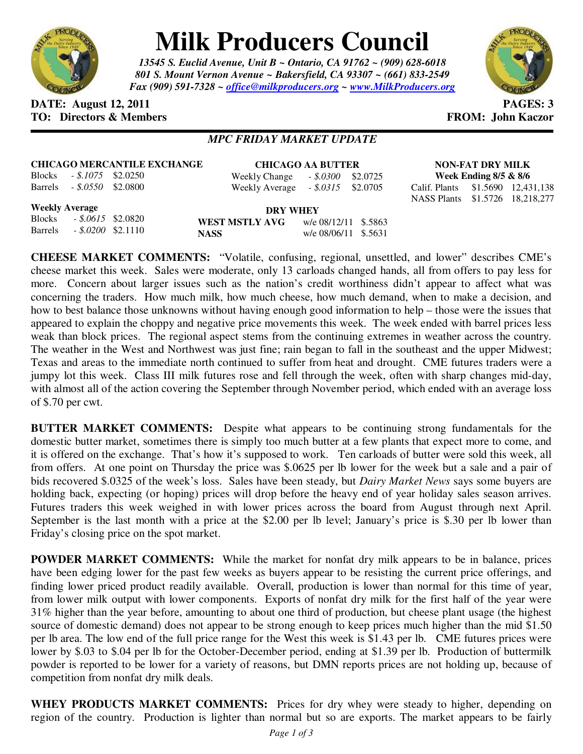

## **Milk Producers Council**

*13545 S. Euclid Avenue, Unit B ~ Ontario, CA 91762 ~ (909) 628-6018 801 S. Mount Vernon Avenue ~ Bakersfield, CA 93307 ~ (661) 833-2549 Fax (909) 591-7328 ~ office@milkproducers.org ~ www.MilkProducers.org*



## **DATE: August 12, 2011 PAGES: 3 TO: Directors & Members TO: Piccore All Members FROM: John Kaczor**

## *MPC FRIDAY MARKET UPDATE*

Weekly Change *- \$.0300* \$2.0725 \$2.0705

| <b>CHICAGO MERCANTILE EXCHANGE</b> |                            |  | <b>CHICAGO AA BUTTER</b>             |  |  |  |
|------------------------------------|----------------------------|--|--------------------------------------|--|--|--|
|                                    | Blocks $-.8.1075$ \$2.0250 |  | Weekly Change $\qquad$ - \$.0300 \$2 |  |  |  |
|                                    | Barrels - \$.0550 \$2.0800 |  | Weekly Average $-.$ \$.0315 \$2      |  |  |  |

**NON-FAT DRY MILK Week Ending 8/5 & 8/6**  Calif. Plants \$1.5690 12,431,138 NASS Plants \$1.5726 18,218,277

**Weekly Average**

Blocks *- \$.0615* \$2.0820 Barrels *- \$.0200* \$2.1110

**DRY WHEY WEST MSTLY AVG** w/e 08/12/11 \$.5863 **NASS** w/e 08/06/11 \$.5631

**CHEESE MARKET COMMENTS:** "Volatile, confusing, regional, unsettled, and lower" describes CME's cheese market this week. Sales were moderate, only 13 carloads changed hands, all from offers to pay less for more. Concern about larger issues such as the nation's credit worthiness didn't appear to affect what was concerning the traders. How much milk, how much cheese, how much demand, when to make a decision, and how to best balance those unknowns without having enough good information to help – those were the issues that appeared to explain the choppy and negative price movements this week. The week ended with barrel prices less weak than block prices. The regional aspect stems from the continuing extremes in weather across the country. The weather in the West and Northwest was just fine; rain began to fall in the southeast and the upper Midwest; Texas and areas to the immediate north continued to suffer from heat and drought. CME futures traders were a jumpy lot this week. Class III milk futures rose and fell through the week, often with sharp changes mid-day, with almost all of the action covering the September through November period, which ended with an average loss of \$.70 per cwt.

**BUTTER MARKET COMMENTS:** Despite what appears to be continuing strong fundamentals for the domestic butter market, sometimes there is simply too much butter at a few plants that expect more to come, and it is offered on the exchange. That's how it's supposed to work. Ten carloads of butter were sold this week, all from offers. At one point on Thursday the price was \$.0625 per lb lower for the week but a sale and a pair of bids recovered \$.0325 of the week's loss. Sales have been steady, but *Dairy Market News* says some buyers are holding back, expecting (or hoping) prices will drop before the heavy end of year holiday sales season arrives. Futures traders this week weighed in with lower prices across the board from August through next April. September is the last month with a price at the \$2.00 per lb level; January's price is \$.30 per lb lower than Friday's closing price on the spot market.

**POWDER MARKET COMMENTS:** While the market for nonfat dry milk appears to be in balance, prices have been edging lower for the past few weeks as buyers appear to be resisting the current price offerings, and finding lower priced product readily available. Overall, production is lower than normal for this time of year, from lower milk output with lower components. Exports of nonfat dry milk for the first half of the year were 31% higher than the year before, amounting to about one third of production, but cheese plant usage (the highest source of domestic demand) does not appear to be strong enough to keep prices much higher than the mid \$1.50 per lb area. The low end of the full price range for the West this week is \$1.43 per lb. CME futures prices were lower by \$.03 to \$.04 per lb for the October-December period, ending at \$1.39 per lb. Production of buttermilk powder is reported to be lower for a variety of reasons, but DMN reports prices are not holding up, because of competition from nonfat dry milk deals.

WHEY PRODUCTS MARKET COMMENTS: Prices for dry whey were steady to higher, depending on region of the country. Production is lighter than normal but so are exports. The market appears to be fairly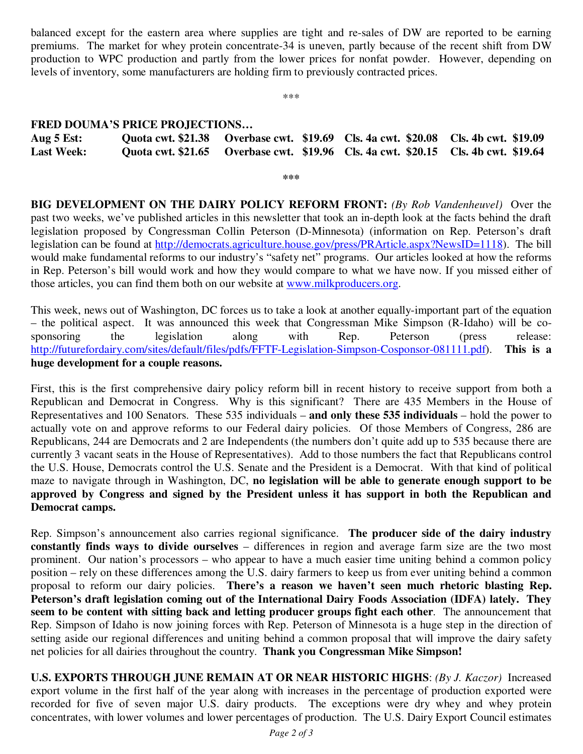balanced except for the eastern area where supplies are tight and re-sales of DW are reported to be earning premiums. The market for whey protein concentrate-34 is uneven, partly because of the recent shift from DW production to WPC production and partly from the lower prices for nonfat powder. However, depending on levels of inventory, some manufacturers are holding firm to previously contracted prices.

\*\*\*

## **FRED DOUMA'S PRICE PROJECTIONS…**

| Aug $5$ Est:      |  | Quota cwt. \$21.38 Overbase cwt. \$19.69 Cls. 4a cwt. \$20.08 Cls. 4b cwt. \$19.09 |  |
|-------------------|--|------------------------------------------------------------------------------------|--|
| <b>Last Week:</b> |  | Quota cwt. \$21.65 Overbase cwt. \$19.96 Cls. 4a cwt. \$20.15 Cls. 4b cwt. \$19.64 |  |

**\*\*\*** 

**BIG DEVELOPMENT ON THE DAIRY POLICY REFORM FRONT:** *(By Rob Vandenheuvel)* Over the past two weeks, we've published articles in this newsletter that took an in-depth look at the facts behind the draft legislation proposed by Congressman Collin Peterson (D-Minnesota) (information on Rep. Peterson's draft legislation can be found at http://democrats.agriculture.house.gov/press/PRArticle.aspx?NewsID=1118). The bill would make fundamental reforms to our industry's "safety net" programs. Our articles looked at how the reforms in Rep. Peterson's bill would work and how they would compare to what we have now. If you missed either of those articles, you can find them both on our website at www.milkproducers.org.

This week, news out of Washington, DC forces us to take a look at another equally-important part of the equation – the political aspect. It was announced this week that Congressman Mike Simpson (R-Idaho) will be cosponsoring the legislation along with Rep. Peterson (press release: http://futurefordairy.com/sites/default/files/pdfs/FFTF-Legislation-Simpson-Cosponsor-081111.pdf). **This is a huge development for a couple reasons.** 

First, this is the first comprehensive dairy policy reform bill in recent history to receive support from both a Republican and Democrat in Congress. Why is this significant? There are 435 Members in the House of Representatives and 100 Senators. These 535 individuals – **and only these 535 individuals** – hold the power to actually vote on and approve reforms to our Federal dairy policies. Of those Members of Congress, 286 are Republicans, 244 are Democrats and 2 are Independents (the numbers don't quite add up to 535 because there are currently 3 vacant seats in the House of Representatives). Add to those numbers the fact that Republicans control the U.S. House, Democrats control the U.S. Senate and the President is a Democrat. With that kind of political maze to navigate through in Washington, DC, **no legislation will be able to generate enough support to be approved by Congress and signed by the President unless it has support in both the Republican and Democrat camps.** 

Rep. Simpson's announcement also carries regional significance. **The producer side of the dairy industry constantly finds ways to divide ourselves** – differences in region and average farm size are the two most prominent. Our nation's processors – who appear to have a much easier time uniting behind a common policy position – rely on these differences among the U.S. dairy farmers to keep us from ever uniting behind a common proposal to reform our dairy policies. **There's a reason we haven't seen much rhetoric blasting Rep. Peterson's draft legislation coming out of the International Dairy Foods Association (IDFA) lately. They seem to be content with sitting back and letting producer groups fight each other**. The announcement that Rep. Simpson of Idaho is now joining forces with Rep. Peterson of Minnesota is a huge step in the direction of setting aside our regional differences and uniting behind a common proposal that will improve the dairy safety net policies for all dairies throughout the country. **Thank you Congressman Mike Simpson!** 

**U.S. EXPORTS THROUGH JUNE REMAIN AT OR NEAR HISTORIC HIGHS**: *(By J. Kaczor)* Increased export volume in the first half of the year along with increases in the percentage of production exported were recorded for five of seven major U.S. dairy products. The exceptions were dry whey and whey protein concentrates, with lower volumes and lower percentages of production. The U.S. Dairy Export Council estimates